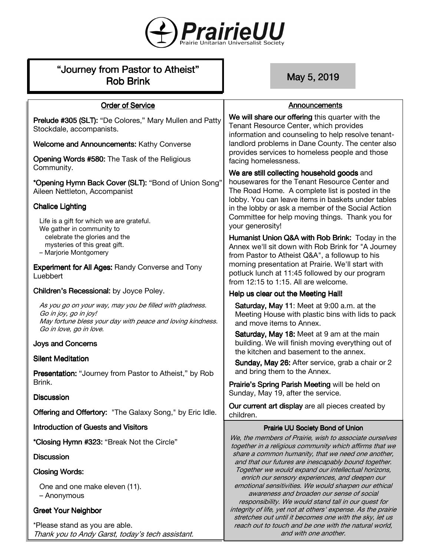

| "Journey from Pastor to Atheist"<br><b>Rob Brink</b>                                                                                           | May 5, 2019                                                                                                                                                |
|------------------------------------------------------------------------------------------------------------------------------------------------|------------------------------------------------------------------------------------------------------------------------------------------------------------|
| <b>Order of Service</b>                                                                                                                        | Announcements                                                                                                                                              |
| Prelude #305 (SLT): "De Colores," Mary Mullen and Patty<br>Stockdale, accompanists.                                                            | We will share our offering this quarter with the<br>Tenant Resource Center, which provides<br>information and counseling to help resolve tenant-           |
| <b>Welcome and Announcements: Kathy Converse</b>                                                                                               | landlord problems in Dane County. The center also                                                                                                          |
| <b>Opening Words #580: The Task of the Religious</b><br>Community.                                                                             | provides services to homeless people and those<br>facing homelessness.                                                                                     |
| *Opening Hymn Back Cover (SLT): "Bond of Union Song"<br>Aileen Nettleton, Accompanist                                                          | We are still collecting household goods and<br>housewares for the Tenant Resource Center and<br>The Road Home. A complete list is posted in the            |
| <b>Chalice Lighting</b>                                                                                                                        | lobby. You can leave items in baskets under tables<br>in the lobby or ask a member of the Social Action<br>Committee for help moving things. Thank you for |
| Life is a gift for which we are grateful.<br>We gather in community to                                                                         | your generosity!                                                                                                                                           |
| celebrate the glories and the<br>mysteries of this great gift.<br>- Marjorie Montgomery                                                        | Humanist Union Q&A with Rob Brink: Today in the<br>Annex we'll sit down with Rob Brink for "A Journey<br>from Pastor to Atheist Q&A", a followup to his    |
| Experiment for All Ages: Randy Converse and Tony<br>Luebbert                                                                                   | morning presentation at Prairie. We'll start with<br>potluck lunch at 11:45 followed by our program<br>from 12:15 to 1:15. All are welcome.                |
| Children's Recessional: by Joyce Poley.                                                                                                        | Help us clear out the Meeting Hall!                                                                                                                        |
| As you go on your way, may you be filled with gladness.<br>Go in joy, go in joy!<br>May fortune bless your day with peace and loving kindness. | Saturday, May 11: Meet at 9:00 a.m. at the<br>Meeting House with plastic bins with lids to pack<br>and move items to Annex.                                |
| Go in love, go in love.<br><b>Joys and Concerns</b>                                                                                            | Saturday, May 18: Meet at 9 am at the main<br>building. We will finish moving everything out of<br>the kitchen and basement to the annex.                  |
| <b>Silent Meditation</b>                                                                                                                       | Sunday, May 26: After service, grab a chair or 2                                                                                                           |
| <b>Presentation:</b> "Journey from Pastor to Atheist," by Rob                                                                                  | and bring them to the Annex.                                                                                                                               |
| Brink.<br><b>Discussion</b>                                                                                                                    | Prairie's Spring Parish Meeting will be held on<br>Sunday, May 19, after the service.                                                                      |
| Offering and Offertory: "The Galaxy Song," by Eric Idle.                                                                                       | Our current art display are all pieces created by<br>children.                                                                                             |
| <b>Introduction of Guests and Visitors</b>                                                                                                     | Prairie UU Society Bond of Union                                                                                                                           |
| *Closing Hymn #323: "Break Not the Circle"                                                                                                     | We, the members of Prairie, wish to associate ourselves<br>together in a religious community which affirms that we                                         |
| <b>Discussion</b>                                                                                                                              | share a common humanity, that we need one another,<br>and that our futures are inescapably bound together.                                                 |
| <b>Closing Words:</b>                                                                                                                          | Together we would expand our intellectual horizons,<br>enrich our sensory experiences, and deepen our                                                      |
| One and one make eleven (11).<br>- Anonymous                                                                                                   | emotional sensitivities. We would sharpen our ethical<br>awareness and broaden our sense of social<br>responsibility. We would stand tall in our quest for |
| <b>Greet Your Neighbor</b>                                                                                                                     | integrity of life, yet not at others' expense. As the prairie<br>stretches out until it becomes one with the sky, let us                                   |
| *Please stand as you are able.                                                                                                                 | reach out to touch and be one with the natural world,                                                                                                      |

and with one another.

Thank you to Andy Garst, today's tech assistant.